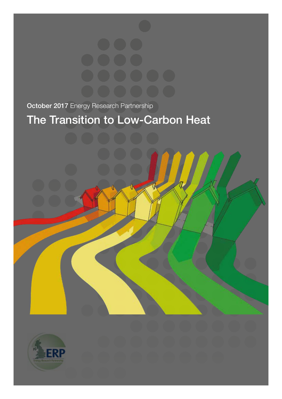October 2017 Energy Research Partnership

# The Transition to Low-Carbon Heat

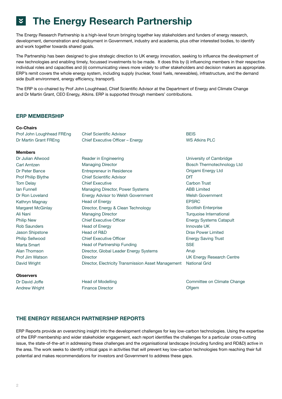## « The Energy Research Partnership

The Energy Research Partnership is a high-level forum bringing together key stakeholders and funders of energy research, development, demonstration and deployment in Government, industry and academia, plus other interested bodies, to identify and work together towards shared goals.

The Partnership has been designed to give strategic direction to UK energy innovation, seeking to influence the development of new technologies and enabling timely, focussed investments to be made. It does this by (i) influencing members in their respective individual roles and capacities and (ii) communicating views more widely to other stakeholders and decision makers as appropriate. ERP's remit covers the whole energy system, including supply (nuclear, fossil fuels, renewables), infrastructure, and the demand side (built environment, energy efficiency, transport).

The ERP is co-chaired by Prof John Loughhead, Chief Scientific Advisor at the Department of Energy and Climate Change and Dr Martin Grant, CEO Energy, Atkins. ERP is supported through members' contributions.

## ERP MEMBERSHIP

#### Co-Chairs

Prof John Loughhead FREng Dr Martin Grant FREng

#### **Mamhare**

Dr Julian Allwood Carl Arntzen Dr Peter Bance Prof Philip Blythe Tom Delay Ian Funnell Dr Ron Loveland Kathryn Magnay Margaret McGinlay Ali Nani Philip New Rob Saunders Jason Shipstone Philip Sellwood Marta Smart Alan Thomson Prof Jim Watson David Wright

#### **Observers**

Dr David Joffe Andrew Wright Chief Scientific Advisor Chief Executive Officer – Energy

Reader in Engineering Managing Director Entrepreneur in Residence Chief Scientific Advisor Chief Executive Managing Director, Power Systems Energy Advisor to Welsh Government Head of Energy Director, Energy & Clean Technology Managing Director Chief Executive Officer Head of Energy Head of R&D Chief Executive Officer Head of Partnership Funding Director, Global Leader Energy Systems **Director** Director, Electricity Transmission Asset Management

Head of Modelling Finance Director

**BEIS** WS Atkins PLC

University of Cambridge Bosch Thermotechnology Ltd Origami Energy Ltd DfT Carbon Trust ABB Limited Welsh Government EPSRC Scottish Enterprise Turquoise International Energy Systems Catapult Innovate UK Drax Power Limited Energy Saving Trust **SSE** Arup UK Energy Research Centre National Grid

Committee on Climate Change **Ofgem** 

# THE ENERGY RESEARCH PARTNERSHIP REPORTS

ERP Reports provide an overarching insight into the development challenges for key low-carbon technologies. Using the expertise of the ERP membership and wider stakeholder engagement, each report identifies the challenges for a particular cross-cutting issue, the state-of-the-art in addressing these challenges and the organisational landscape (including funding and RD&D) active in the area. The work seeks to identify critical gaps in activities that will prevent key low-carbon technologies from reaching their full potential and makes recommendations for investors and Government to address these gaps.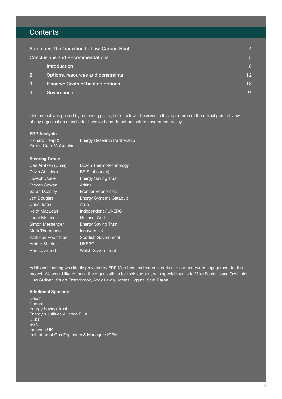# **Contents**

| Summary: The Transition to Low-Carbon Heat |                                    |                 |
|--------------------------------------------|------------------------------------|-----------------|
| <b>Conclusions and Recommendations</b>     |                                    | <b>57</b>       |
|                                            | <b>Introduction</b>                | 8               |
| $\overline{2}$                             | Options, resources and constraints | 12 <sub>2</sub> |
| 3                                          | Finance: Costs of heating options  | 18              |
| 4                                          | Governance                         | 24              |

This project was guided by a steering group, listed below. The views in this report are not the official point of view of any organisation or individual involved and do not constitute government policy.

#### ERP Analysts

Richard Heap & Simon Cran-McGreehin Energy Research Partnership

#### Steering Group

| Carl Arntzen (Chair) | <b>Bosch Thermotechnology</b>  |
|----------------------|--------------------------------|
| Olivia Absalom       | <b>BEIS (observer)</b>         |
| Joseph Cosier        | <b>Energy Saving Trust</b>     |
| <b>Steven Cowan</b>  | <b>Atkins</b>                  |
| <b>Sarah Deasley</b> | <b>Frontier Economics</b>      |
| <b>Jeff Douglas</b>  | <b>Energy Systems Catapult</b> |
| Chris Jofeh          | Arup                           |
| <b>Keith MacLean</b> | Independent / UKERC            |
| Janet Mather         | <b>National Grid</b>           |
| Simon Messenger      | <b>Energy Saving Trust</b>     |
| Mark Thompson        | Innovate UK                    |
| Kathleen Robertson   | <b>Scottish Government</b>     |
| <b>Amber Sharick</b> | <b>UKERC</b>                   |
| <b>Ron Loveland</b>  | <b>Welsh Government</b>        |

Additional funding was kindly provided by ERP Members and external parties to support wider engagement for the project. We would like to thank the organisations for their support, with special thanks to Mike Foster, Isaac Occhipinti, Huw Sullivan, Stuart Easterbrook, Andy Lewis, James Higgins, Sarb Bajwa.

#### Additional Sponsors

Bosch **Cadent** Energy Saving Trust Energy & Utilities Alliance EUA **BEIS SGN** Innovate UK Institution of Gas Engineers & Managers IGEM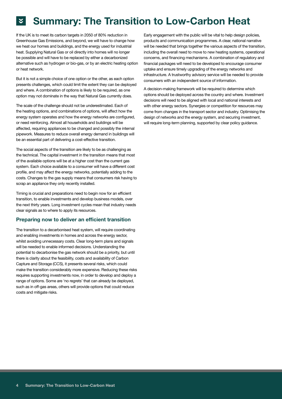# **Summary: The Transition to Low-Carbon Heat**

If the UK is to meet its carbon targets in 2050 of 80% reduction in Greenhouse Gas Emissions, and beyond, we will have to change how we heat our homes and buildings, and the energy used for industrial heat. Supplying Natural Gas or oil directly into homes will no longer be possible and will have to be replaced by either a decarbonized alternative such as hydrogen or bio-gas, or by an electric heating option or heat network.

But it is not a simple choice of one option or the other, as each option presents challenges, which could limit the extent they can be deployed and where. A combination of options is likely to be required, as one option may not dominate in the way that Natural Gas currently does.

The scale of the challenge should not be underestimated. Each of the heating options, and combinations of options, will affect how the energy system operates and how the energy networks are configured, or need reinforcing. Almost all households and buildings will be affected, requiring appliances to be changed and possibly the internal pipework. Measures to reduce overall energy demand in buildings will be an essential part of delivering a cost-effective transition.

The social aspects of the transition are likely to be as challenging as the technical. The capital investment in the transition means that most of the available options will be at a higher cost than the current gas system. Each choice available to a consumer will have a different cost profile, and may affect the energy networks, potentially adding to the costs. Changes to the gas supply means that consumers risk having to scrap an appliance they only recently installed.

Timing is crucial and preparations need to begin now for an efficient transition, to enable investments and develop business models, over the next thirty years. Long investment cycles mean that industry needs clear signals as to where to apply its resources.

## Preparing now to deliver an efficient transition

The transition to a decarbonised heat system, will require coordinating and enabling investments in homes and across the energy sector, whilst avoiding unnecessary costs. Clear long-term plans and signals will be needed to enable informed decisions. Understanding the potential to decarbonise the gas network should be a priority, but until there is clarity about the feasibility, costs and availability of Carbon Capture and Storage (CCS), it presents several risks, which could make the transition considerably more expensive. Reducing these risks requires supporting investments now, in order to develop and deploy a range of options. Some are 'no regrets' that can already be deployed, such as in off-gas areas, others will provide options that could reduce costs and mitigate risks.

Early engagement with the public will be vital to help design policies, products and communication programmes. A clear, national narrative will be needed that brings together the various aspects of the transition, including the overall need to move to new heating systems, operational concerns, and financing mechanisms. A combination of regulatory and financial packages will need to be developed to encourage consumer uptake and ensure timely upgrading of the energy networks and infrastructure. A trustworthy advisory service will be needed to provide consumers with an independent source of information.

A decision-making framework will be required to determine which options should be deployed across the country and where. Investment decisions will need to be aligned with local and national interests and with other energy sectors. Synergies or competition for resources may come from changes in the transport sector and industry. Optimising the design of networks and the energy system, and securing investment, will require long-term planning, supported by clear policy guidance.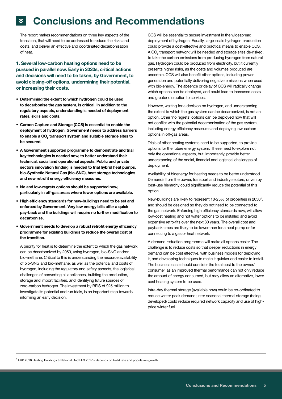# **Conclusions and Recommendations**

The report makes recommendations on three key aspects of the transition, that will need to be addressed to reduce the risks and costs, and deliver an effective and coordinated decarbonisation of heat.

1. Several low-carbon heating options need to be pursued in parallel now. Early in 2020s, critical actions and decisions will need to be taken, by Government, to avoid closing-off options, undermining their potential, or increasing their costs.

- Determining the extent to which hydrogen could be used to decarbonise the gas system, is critical. In addition to the regulatory aspects, understanding is needed of deployment rates, skills and costs.
- Carbon Capture and Storage (CCS) is essential to enable the deployment of hydrogen. Government needs to address barriers to enable a CO $_{\textrm{\tiny{2}}}$  transport system and suitable storage sites to be secured.
- A Government supported programme to demonstrate and trial key technologies is needed now, to better understand their technical, social and operational aspects. Public and private sectors innovation funding is needed to trial hybrid heat pumps, bio-Synthetic Natural Gas (bio-SNG), heat storage technologies and new retrofit energy efficiency measures.
- No and low-regrets options should be supported now, particularly in off-gas areas where fewer options are available.
- High efficiency standards for new-buildings need to be set and enforced by Government. Very low energy bills offer a quick pay-back and the buildings will require no further modification to decarbonise.
- Government needs to develop a robust retrofit energy efficiency programme for existing buildings to reduce the overall cost of the transition.

A priority for heat is to determine the extent to which the gas network can be decarbonized by 2050, using hydrogen, bio-SNG and/or bio-methane. Critical to this is understanding the resource availability of bio-SNG and bio-methane, as well as the potential and costs of hydrogen, including the regulatory and safety aspects, the logistical challenges of converting all appliances, building the production, storage and import facilities, and identifying future sources of zero-carbon hydrogen. The investment by BEIS of £25 million to investigate its potential and run trials, is an important step towards informing an early decision.

CCS will be essential to secure investment in the widespread deployment of hydrogen. Equally, large-scale hydrogen production could provide a cost-effective and practical means to enable CCS. A CO<sub>2</sub> transport network will be needed and storage sites de-risked, to take the carbon emissions from producing hydrogen from natural gas. Hydrogen could be produced from electricity, but it currently presents higher risks, as the costs and volumes produced are uncertain. CCS will also benefit other options, including power generation and potentially delivering negative emissions when used with bio-energy. The absence or delay of CCS will radically change which options can be deployed, and could lead to increased costs and greater disruption to services.

However, waiting for a decision on hydrogen, and understanding the extent to which the gas system can be decarbonized, is not an option. Other 'no regrets' options can be deployed now that will not conflict with the potential decarbonisation of the gas system, including energy efficiency measures and deploying low-carbon options in off-gas areas.

Trials of other heating systems need to be supported, to provide options for the future energy system. These need to explore not only the operational aspects, but, importantly, provide better understanding of the social, financial and logistical challenges of deployment.

Availability of bioenergy for heating needs to be better understood. Demands from the power, transport and industry sectors, driven by best-use hierarchy could significantly reduce the potential of this option.

New-buildings are likely to represent 10-25% of properties in 2050<sup>1</sup>, and should be designed so they do not need to be connected to the gas network. Enforcing high efficiency standards now, will allow low-cost heating and hot water options to be installed and avoid expensive retro-fits over the next 30 years. The overall cost and payback times are likely to be lower than for a heat pump or for connecting to a gas or heat network.

A demand reduction programme will make all options easier. The challenge is to reduce costs so that deeper reductions in energy demand can be cost effective, with business models for deploying it, and developing techniques to make it quicker and easier to install. The business case should consider the total cost to the owner/ consumer, as an improved thermal performance can not only reduce the amount of energy consumed, but may allow an alternative, lowercost heating system to be used.

Intra-day thermal storage (available now) could be co-ordinated to reduce winter peak demand; inter-seasonal thermal storage (being developed) could reduce required network capacity and use of highprice winter fuel.

<sup>1</sup> ERP 2016 Heating Buildings & National Grid FES 2017 – depends on build rate and population growth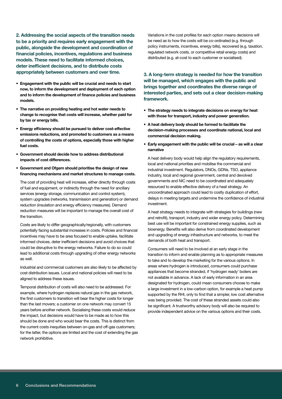2. Addressing the social aspects of the transition needs to be a priority and requires early engagement with the public, alongside the development and coordination of financial policies, incentives, regulations and business models. These need to facilitate informed choices, deter inefficient decisions, and to distribute costs appropriately between customers and over time.

- Engagement with the public will be crucial and needs to start now, to inform the development and deployment of each option and to inform the development of finance policies and business models.
- The narrative on providing heating and hot water needs to change to recognise that costs will increase, whether paid for by tax or energy bills.
- Energy efficiency should be pursued to deliver cost-effective emissions reductions, and promoted to customers as a means of controlling the costs of options, especially those with higher fuel costs.
- Government should decide how to address distributional impacts of cost differences.
- Government and Ofgem should prioritise the design of new financing mechanisms and market structures to manage costs.

The cost of providing heat will increase, either directly through costs of fuel and equipment, or indirectly through the need for ancillary services (energy storage, communication and control system), system upgrades (networks, transmission and generation) or demand reduction (insulation and energy efficiency measures). Demand reduction measures will be important to manage the overall cost of the transition.

Costs are likely to differ geographically/regionally, with customers potentially facing substantial increases in costs. Policies and financial incentives may have to be area focused to enable uptake, facilitate informed choices, deter inefficient decisions and avoid choices that could be disruptive to the energy networks. Failure to do so could lead to additional costs through upgrading of other energy networks as well.

Industrial and commercial customers are also likely to be affected by cost distribution issues. Local and national policies will need to be aligned to address these issues.

Temporal distribution of costs will also need to be addressed. For example, where hydrogen replaces natural gas in the gas network, the first customers to transition will bear the higher costs for longer than the last movers; a customer on one network may convert 15 years before another network. Socialising these costs would reduce the impact, but decisions would have to be made as to how this should be done and who would bear the costs. This is distinct from the current costs inequities between on-gas and off-gas customers; for the latter, the options are limited and the cost of extending the gas network prohibitive.

Variations in the cost profiles for each option means decisions will be need as to how the costs will be co-ordinated (e.g. through policy instruments, incentives, energy bills), recovered (e.g. taxation, regulated network costs, or competitive retail energy costs) and distributed (e.g. at-cost to each customer or socialised).

3. A long-term strategy is needed for how the transition will be managed, which engages with the public and brings together and coordinates the diverse range of interested parties, and sets out a clear decision-making framework.

- The strategy needs to integrate decisions on energy for heat with those for transport, industry and power generation.
- A heat delivery body should be formed to facilitate the decision-making processes and coordinate national, local and commercial decision making.
- Early engagement with the public will be crucial as will a clear narrative

A heat delivery body would help align the regulatory requirements, local and national priorities and mobilise the commercial and industrial investment. Regulators, DNOs, GDNs, TSO, appliance industry, local and regional government, central and devolved governments and NIC need to be coordinated and adequately resourced to enable effective delivery of a heat strategy. An uncoordinated approach could lead to costly duplication of effort, delays in meeting targets and undermine the confidence of industrial investment.

A heat strategy needs to integrate with strategies for buildings (new and retrofit), transport, industry and wider energy policy. Determining best use will be important for constrained energy supplies, such as bioenergy. Benefits will also derive from coordinated development and upgrading of energy infrastructure and networks, to meet the demands of both heat and transport.

Consumers will need to be involved at an early stage in the transition to inform and enable planning as to appropriate measures to take and to develop the marketing for the various options. In areas where hydrogen is introduced, consumers could purchase appliances that become stranded, if 'hydrogen ready' boilers are not available in advance. A lack of early information in an area designated for hydrogen, could mean consumers choose to make a large investment in a low-carbon option, for example a heat pump supported by the RHI, only to find that a simpler, low cost alternative was being provided. The cost of these stranded assets could also be significant. A trustworthy advisory body will also be required to provide independent advice on the various options and their costs.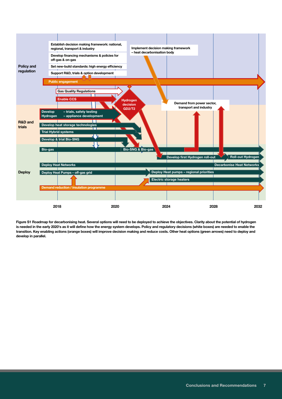

Figure S1 Roadmap for decarbonising heat. Several options will need to be deployed to achieve the objectives. Clarity about the potential of hydrogen is needed in the early 2020's as it will define how the energy system develops. Policy and regulatory decisions (white boxes) are needed to enable the transition. Key enabling actions (orange boxes) will improve decision making and reduce costs. Other heat options (green arrows) need to deploy and develop in parallel.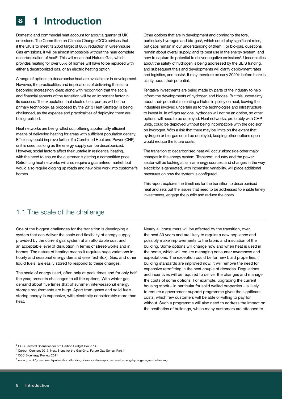# 1 Introduction

Domestic and commercial heat account for about a quarter of UK emissions. The Committee on Climate Change (CCC) advises that if the UK is to meet its 2050 target of 80% reduction in Greenhouse Gas emissions, it will be almost impossible without the near complete decarbonisation of heat<sup>2</sup>. This will mean that Natural Gas, which provides heating for over 85% of homes will have to be replaced with either a decarbonized gas, or an electric heating option.

A range of options to decarbonise heat are available or in development. However, the practicalities and implications of delivering these are becoming increasingly clear, along with recognition that the social and financial aspects of the transition will be an important factor in its success. The expectation that electric heat pumps will be the primary technology, as proposed by the 2013 Heat Strategy, is being challenged, as the expense and practicalities of deploying them are being realised.

Heat networks are being rolled out, offering a potentially efficient means of delivering heating for areas with sufficient population density. Efficiency could improve further if a Combined Heat and Power (CHP) unit is used, as long as the energy supply can be decarbonized. However, social factors affect their uptake in residential heating, with the need to ensure the customer is getting a competitive price. Retrofitting heat networks will also require a quaranteed market, but would also require digging up roads and new pipe work into customer's homes.

Other options that are in development and coming to the fore, particularly hydrogen and bio-gas<sup>3</sup>, which could play significant roles, but gaps remain in our understanding of them. For bio-gas, questions remain about overall supply, and its best use in the energy system, and how to capture its potential to deliver negative emissions<sup>4</sup>. Uncertainties about the safety of hydrogen is being addressed by the BEIS funding, and subsequent trials and developments will clarify deployment rates and logistics, and costs<sup>5</sup>. It may therefore be early 2020's before there is clarity about their potential.

Tentative investments are being made by parts of the industry to help inform the developments of hydrogen and biogas. But this uncertainty about their potential is creating a hiatus in policy on heat, leaving the industries involved uncertain as to the technologies and infrastructure to invest in. In off-gas regions, hydrogen will not be an option, so other options will need to be deployed. Heat networks, preferably with CHP units, could be deployed without being incompatible with the decision on hydrogen. With a risk that there may be limits on the extent that hydrogen or bio-gas could be deployed, keeping other options open would reduce the future costs.

The transition to decarbonised heat will occur alongside other major changes in the energy system. Transport, industry and the power sector will be looking at similar energy sources, and changes in the way electricity is generated, with increasing variability, will place additional pressures on how the system is configured.

This report explores the timelines for the transition to decarbonised heat and sets out the issues that need to be addressed to enable timely investments, engage the public and reduce the costs.

# 1.1 The scale of the challenge

One of the biggest challenges for the transition is developing a system that can deliver the scale and flexibility of energy supply provided by the current gas system at an affordable cost and an acceptable level of disruption in terms of street-works and in homes. The nature of heating means it requires huge variations in hourly and seasonal energy demand (see Text Box). Gas, and other liquid fuels, are easily stored to respond to these changes.

The scale of energy used, often only at peak times and for only half the year, presents challenges to all the options. With winter gas demand about five times that of summer, inter-seasonal energy storage requirements are huge. Apart from gases and solid fuels, storing energy is expensive, with electricity considerably more than heat.

Nearly all consumers will be affected by the transition, over the next 30 years and are likely to require a new appliance and possibly make improvements to the fabric and insulation of the building. Some options will change how and when heat is used in the home, which will require managing consumer awareness and expectations. The exception could be for new build properties, if building standards are improved now, it will remove the need for expensive retrofitting in the next couple of decades. Regulations and incentives will be required to deliver the changes and manage the costs of some options. For example, upgrading the current housing stock – in particular for solid walled properties - is likely to require a government support programme given the significant costs, which few customers will be able or willing to pay for without. Such a programme will also need to address the impact on the aesthetics of buildings, which many customers are attached to.

<sup>2</sup> CCC Sectoral Scenarios for 5th Carbon Budget Box 3.14

<sup>3</sup> Carbon Connect 2017, Next Steps for the Gas Grid, Future Gas Series: Part 1

<sup>4</sup> CCC Bioenergy Review 2011

<sup>5</sup> www.gov.uk/government/publications/funding-for-innovative-approaches-to-using-hydrogen-gas-for-heating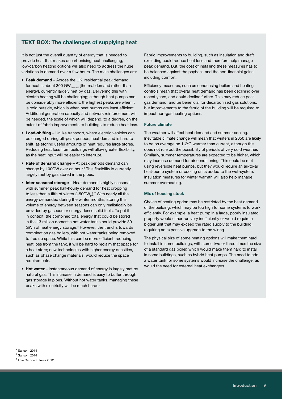# TEXT BOX: The challenges of supplying heat

It is not just the overall quantity of energy that is needed to provide heat that makes decarbonising heat challenging, low-carbon heating options will also need to address the huge variations in demand over a few hours. The main challenges are:

- Peak demand Across the UK, residential peak demand for heat is about 300 GW $_{\text{thermal}}$  [thermal demand rather than energy], currently largely met by gas. Delivering this with electric heating will be challenging; although heat pumps can be considerably more efficient, the highest peaks are when it is cold outside, which is when heat pumps are least efficient. Additional generation capacity and network reinforcement will be needed, the scale of which will depend, to a degree, on the extent of fabric improvements to buildings to reduce heat loss.
- Load-shifting Unlike transport, where electric vehicles can be charged during off-peak periods, heat demand is hard to shift, as storing useful amounts of heat requires large stores. Reducing heat loss from buildings will allow greater flexibility, as the heat input will be easier to interrupt.
- Rate of demand change At peak periods demand can change by 100GW over an hour.<sup>6</sup> This flexibility is currently largely met by gas stored in the pipes.
- Inter-seasonal storage Heat demand is highly seasonal, with summer peak half-hourly demand for heat dropping to less than a fifth of winter (~50GW $_{_{\rm th}}$ ), $^7$  With nearly all the energy demanded during the winter months, storing this volume of energy between seasons can only realistically be provided by gaseous or energy dense solid fuels. To put it in context, the combined total energy that could be stored in the 13 million domestic hot water tanks could provide 80 GWh of heat energy storage.<sup>8</sup> However, the trend is towards combination gas boilers, with hot water tanks being removed to free up space. While this can be more efficient, reducing heat loss from the tank, it will be hard to reclaim that space for a heat store; new technologies with higher energy densities, such as phase change materials, would reduce the space requirements.
- Hot water instantaneous demand of energy is largely met by natural gas. This increase in demand is easy to buffer through gas storage in pipes. Without hot water tanks, managing these peaks with electricity will be much harder.

Fabric improvements to building, such as insulation and draft excluding could reduce heat loss and therefore help manage peak demand. But, the cost of installing these measures has to be balanced against the payback and the non-financial gains, including comfort.

Efficiency measures, such as condensing boilers and heating controls mean that overall heat demand has been declining over recent years, and could decline further. This may reduce peak gas demand, and be beneficial for decarbonised gas solutions, but improvements to the fabric of the building will be required to impact non-gas heating options.

#### Future climate

The weather will affect heat demand and summer cooling. Inevitable climate change will mean that winters in 2050 are likely to be on average be 1-2°C warmer than current, although this does not rule out the possibility of periods of very cold weather. Similarly, summer temperatures are expected to be higher, which may increase demand for air conditioning. This could be met using reversible heat pumps, but they would require an air-to-air heat-pump system or cooling units added to the wet-system. Insulation measures for winter warmth will also help manage summer overheating.

#### Mix of housing stock

Choice of heating option may be restricted by the heat demand of the building, which may be too high for some systems to work efficiently. For example, a heat pump in a large, poorly insulated property would either run very inefficiently or would require a bigger unit that may exceed the rated supply to the building, requiring an expensive upgrade to the wiring.

The physical size of some heating options will make them hard to install in some buildings, with some two or three times the size of a standard gas boiler, which would make them hard to install in some buildings, such as hybrid heat pumps. The need to add a water tank for some systems would increase the challenge, as would the need for external heat exchangers.

 $6$  Sansom 2014

<sup>7</sup> Sansom 2014

<sup>8</sup> Low Carbon Futures 2012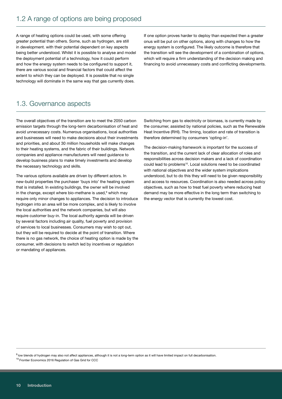A range of heating options could be used, with some offering greater potential than others. Some, such as hydrogen, are still in development. with their potential dependent on key aspects being better understood. Whilst it is possible to analyse and model the deployment potential of a technology, how it could perform and how the energy system needs to be configured to support it, there are various social and financial factors that could affect the extent to which they can be deployed. It is possible that no single technology will dominate in the same way that gas currently does.

If one option proves harder to deploy than expected then a greater onus will be put on other options, along with changes to how the energy system is configured. The likely outcome is therefore that the transition will see the development of a combination of options, which will require a firm understanding of the decision making and financing to avoid unnecessary costs and conflicting developments.

# 1.3. Governance aspects

The overall objectives of the transition are to meet the 2050 carbon emission targets through the long-term decarbonisation of heat and avoid unnecessary costs. Numerous organisations, local authorities and businesses will need to make decisions about their investments and priorities, and about 30 million households will make changes to their heating systems, and the fabric of their buildings. Network companies and appliance manufacturers will need guidance to develop business plans to make timely investments and develop the necessary technology and skills.

The various options available are driven by different actors. In new-build properties the purchaser 'buys into' the heating system that is installed. In existing buildings, the owner will be involved in the change, except where bio-methane is used,<sup>9</sup> which may require only minor changes to appliances. The decision to introduce hydrogen into an area will be more complex, and is likely to involve the local authorities and the network companies, but will also require customer buy-in. The local authority agenda will be driven by several factors including air quality, fuel poverty and provision of services to local businesses. Consumers may wish to opt out, but they will be required to decide at the point of transition. Where there is no gas network, the choice of heating option is made by the consumer, with decisions to switch led by incentives or regulation or mandating of appliances.

Switching from gas to electricity or biomass, is currently made by the consumer, assisted by national policies, such as the Renewable Heat Incentive (RHI). The timing, location and rate of transition is therefore determined by consumers 'opting-in'.

The decision-making framework is important for the success of the transition, and the current lack of clear allocation of roles and responsibilities across decision makers and a lack of coordination could lead to problems<sup>10</sup>. Local solutions need to be coordinated with national objectives and the wider system implications understood, but to do this they will need to be given responsibility and access to resources. Coordination is also needed across policy objectives, such as how to treat fuel poverty where reducing heat demand may be more effective in the long term than switching to the energy vector that is currently the lowest cost.

9 low blends of hydrogen may also not affect appliances, although it is not a long-term option as it will have limited impact on full decarbonisation.

<sup>10</sup> Frontier Economics 2016 Regulation of Gas Grid for CCC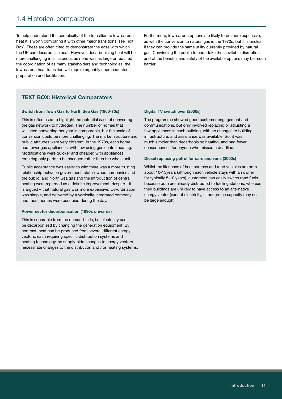# 1.4 Historical comparators

To help understand the complexity of the transition to low-carbon heat it is worth comparing it with other major transitions (see Text Box). These are often cited to demonstrate the ease with which the UK can decarbonise heat. However, decarbonising heat will be more challenging in all aspects, as none was as large or required the coordination of as many stakeholders and technologies: the low-carbon heat transition will require arguably unprecedented preparation and facilitation.

Furthermore, low-carbon options are likely to be more expensive, as with the conversion to natural gas in the 1970s, but it is unclear if they can provide the same utility currently provided by natural gas. Convincing the public to undertake the inevitable disruption, and of the benefits and safety of the available options may be much harder.

# TEXT BOX: Historical Comparators

#### Switch from Town Gas to North Sea Gas (1960-70s)

This is often used to highlight the potential ease of converting the gas network to hydrogen. The number of homes that will need converting per year is comparable, but the scale of conversion could be more challenging. The market structure and public attitudes were very different. In the 1970s, each home had fewer gas appliances, with few using gas central heating. Modifications were quicker and cheaper, with appliances requiring only parts to be changed rather than the whole unit.

Public acceptance was easier to win: there was a more trusting relationship between government, state-owned companies and the public, and North Sea gas and the introduction of central heating were regarded as a definite improvement, despite – it is argued – that natural gas was more expensive. Co-ordination was simple, and delivered by a vertically-integrated company; and most homes were occupied during the day.

#### Power sector decarbonisation (1990s onwards)

This is separable from the demand-side, i.e. electricity can be decarbonised by changing the generation equipment. By contrast, heat can be produced from several different energy vectors, each requiring specific distribution systems and heating technology, so supply-side changes to energy vectors necessitate changes to the distribution and / or heating systems.

#### Digital TV switch over (2000s)

The programme showed good customer engagement and communications, but only involved replacing or adjusting a few appliances in each building, with no changes to building infrastructure, and assistance was available. So, it was much simpler than decarbonising heating, and had fewer consequences for anyone who missed a deadline.

#### Diesel replacing petrol for cars and vans (2000s)

Whilst the lifespans of heat sources and road vehicles are both about 10-15years (although each vehicle stays with an owner for typically 5-10 years), customers can easily switch road fuels because both are already distributed to fuelling stations, whereas their buildings are unlikely to have access to an alternative energy vector (except electricity, although the capacity may not be large enough).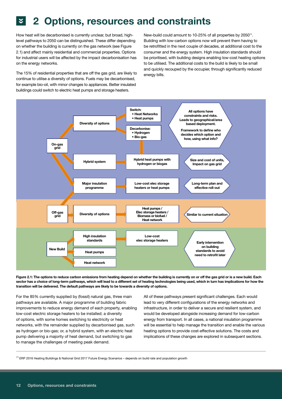# **2** 2 Options, resources and constraints

How heat will be decarbonised is currently unclear, but broad, highlevel pathways to 2050 can be distinguished. These differ depending on whether the building is currently on the gas network (see Figure 2.1) and affect mainly residential and commercial properties. Options for industrial users will be affected by the impact decarbonisation has on the energy networks.

The 15% of residential properties that are off the gas grid, are likely to continue to utilise a diversity of options. Fuels may be decarbonised, for example bio-oil, with minor changes to appliances. Better insulated buildings could switch to electric heat pumps and storage heaters.

New-build could amount to 10-25% of all properties by 2050<sup>11</sup>. Building with low-carbon options now will prevent them having to be retrofitted in the next couple of decades, at additional cost to the consumer and the energy system. High insulation standards should be prioritised, with building designs enabling low-cost heating options to be utilised. The additional costs to the build is likely to be small and quickly recouped by the occupier, through significantly reduced energy bills.





For the 85% currently supplied by (fossil) natural gas, three main pathways are available. A major programme of building fabric improvements to reduce energy demand of each property, enabling low-cost electric storage heaters to be installed; a diversity of options, with some homes switching to electricity or heat networks, with the remainder supplied by decarbonised gas, such as hydrogen or bio-gas; or, a hybrid system, with an electric heat pump delivering a majority of heat demand, but switching to gas to manage the challenges of meeting peak demand.

All of these pathways present significant challenges. Each would lead to very different configurations of the energy networks and infrastructure, in order to deliver a secure and resilient system, and would be developed alongside increasing demand for low-carbon energy from transport. In all cases, a national insulation programme will be essential to help manage the transition and enable the various heating options to provide cost-effective solutions. The costs and implications of these changes are explored in subsequent sections.

<sup>11</sup> ERP 2016 Heating Buildings & National Grid 2017 Future Energy Scenarios – depends on build rate and population growth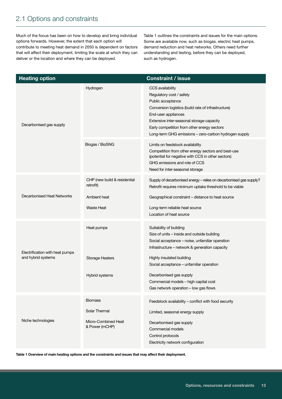# 2.1 Options and constraints

Much of the focus has been on how to develop and bring individual options forwards. However, the extent that each option will contribute to meeting heat demand in 2050 is dependent on factors that will affect their deployment, limiting the scale at which they can deliver or the location and where they can be deployed.

Table 1 outlines the constraints and issues for the main options. Some are available now, such as biogas, electric heat pumps, demand reduction and heat networks. Others need further understanding and testing, before they can be deployed, such as hydrogen.

| <b>Heating option</b>                                 |                                           | <b>Constraint / issue</b>                                                                                                                                                                                                                                                                            |
|-------------------------------------------------------|-------------------------------------------|------------------------------------------------------------------------------------------------------------------------------------------------------------------------------------------------------------------------------------------------------------------------------------------------------|
| Decarbonised gas supply                               | Hydrogen                                  | CCS availability<br>Regulatory cost / safety<br>Public acceptance<br>Conversion logistics (build rate of infrastructure)<br>End-user appliances<br>Extensive inter-seasonal storage capacity<br>Early competition from other energy sectors<br>Long-term GHG emissions - zero-carbon hydrogen supply |
|                                                       | Biogas / BioSNG                           | Limits on feedstock availability<br>Competition from other energy sectors and best-use<br>(potential for negative with CCS in other sectors)<br>GHG emissions and role of CCS<br>Need for inter-seasonal storage                                                                                     |
|                                                       | CHP (new build & residential<br>retrofit) | Supply of decarbonised energy - relies on decarbonised gas supply?<br>Retrofit requires minimum uptake threshold to be viable                                                                                                                                                                        |
| Decarbonised Heat Networks                            | Ambient heat                              | Geographical constraint – distance to heat source                                                                                                                                                                                                                                                    |
|                                                       | <b>Waste Heat</b>                         | Long-term reliable heat source<br>Location of heat source                                                                                                                                                                                                                                            |
|                                                       | Heat pumps                                | Suitability of building<br>Size of units - inside and outside building<br>Social acceptance - noise, unfamiliar operation<br>Infrastructure - network & generation capacity                                                                                                                          |
| Electrification with heat pumps<br>and hybrid systems | <b>Storage Heaters</b>                    | Highly insulated building<br>Social acceptance - unfamiliar operation                                                                                                                                                                                                                                |
|                                                       | Hybrid systems                            | Decarbonised gas supply<br>Commercial models - high capital cost<br>Gas network operation - low gas flows                                                                                                                                                                                            |
|                                                       | <b>Biomass</b>                            | Feedstock availability - conflict with food security                                                                                                                                                                                                                                                 |
|                                                       | Solar Thermal                             | Limited, seasonal energy supply                                                                                                                                                                                                                                                                      |
| Niche technologies                                    | Micro-Combined Heat<br>& Power (mCHP)     | Decarbonised gas supply<br>Commercial models<br>Control protocols<br>Electricity network configuration                                                                                                                                                                                               |

Table 1 Overview of main heating options and the constraints and issues that may affect their deployment.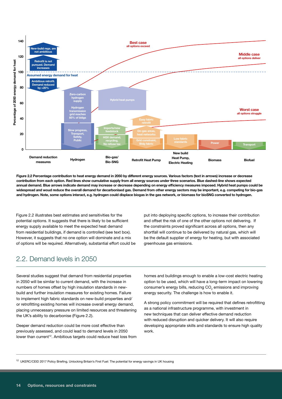

Figure 2.2 Percentage contribution to heat energy demand in 2050 by different energy sources. Various factors (text in arrows) increase or decrease contribution from each option. Red lines show cumulative supply from all energy sources under three scenarios. Blue dashed-line shows expected annual demand. Blue arrows indicate demand may increase or decrease depending on energy efficiency measures imposed. Hybrid heat pumps could be widespread and woud reduce the overall demand for decarbonised gas. Demand from other energy sectors may be important, e.g. competing for bio-gas and hydrogen. Note, some options interact, e.g. hydrogen could displace biogas in the gas network, or biomass for bioSNG converted to hydrogen.

Figure 2.2 illustrates best estimates and sensitivities for the potential options. It suggests that there is likely to be sufficient energy supply available to meet the expected heat demand from residential buildings, if demand is controlled (see text box). However, it suggests that no one option will dominate and a mix of options will be required. Alternatively, substantial effort could be put into deploying specific options, to increase their contribution and offset the risk of one of the other options not delivering. If the constraints proved significant across all options, then any shortfall will continue to be delivered by natural gas, which will be the default supplier of energy for heating, but with associated greenhouse gas emissions.

# 2.2. Demand levels in 2050

Several studies suggest that demand from residential properties in 2050 will be similar to current demand, with the increase in numbers of homes offset by high insulation standards in newbuild and further insulation measures for existing homes. Failure to implement high fabric standards on new-build properties and/ or retrofitting existing homes will increase overall energy demand, placing unnecessary pressure on limited resources and threatening the UK's ability to decarbonise (Figure 2.2).

Deeper demand reduction could be more cost effective than previously assessed, and could lead to demand levels in 2050 lower than current<sup>12</sup>. Ambitious targets could reduce heat loss from homes and buildings enough to enable a low-cost electric heating option to be used, which will have a long-term impact on lowering consumer's energy bills, reducing  $CO<sub>2</sub>$  emissions and improving energy security. The challenge is how to enable it.

A strong policy commitment will be required that defines retrofitting as a national infrastructure programme, with investment in new techniques that can deliver effective demand reduction with reduced disruption and quicker delivery. It will also require developing appropriate skills and standards to ensure high quality work.

<sup>12</sup> UKERC/CEID 2017 Policy Briefing, Unlocking Britain's First Fuel: The potential for energy savings in UK housing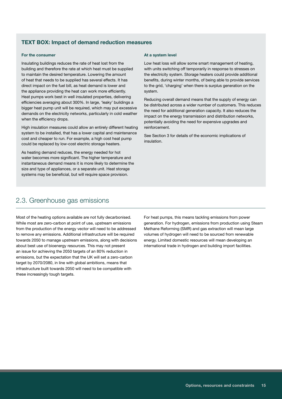# TEXT BOX: Impact of demand reduction measures

#### For the consumer

Insulating buildings reduces the rate of heat lost from the building and therefore the rate at which heat must be supplied to maintain the desired temperature. Lowering the amount of heat that needs to be supplied has several effects. It has direct impact on the fuel bill, as heat demand is lower and the appliance providing the heat can work more efficiently. Heat pumps work best in well insulated properties, delivering efficiencies averaging about 300%. In large, 'leaky' buildings a bigger heat pump unit will be required, which may put excessive demands on the electricity networks, particularly in cold weather when the efficiency drops.

High insulation measures could allow an entirely different heating system to be installed, that has a lower capital and maintenance cost and cheaper to run. For example, a high cost heat pump could be replaced by low-cost electric storage heaters.

As heating demand reduces, the energy needed for hot water becomes more significant. The higher temperature and instantaneous demand means it is more likely to determine the size and type of appliances, or a separate unit. Heat storage systems may be beneficial, but will require space provision.

# 2.3. Greenhouse gas emissions

Most of the heating options available are not fully decarbonised. While most are zero-carbon at point of use, upstream emissions from the production of the energy vector will need to be addressed to remove any emissions. Additional infrastructure will be required towards 2050 to manage upstream emissions, along with decisions about best use of bioenergy resources. This may not present an issue for achieving the 2050 targets of an 80% reduction in emissions, but the expectation that the UK will set a zero-carbon target by 2070/2080, in line with global ambitions, means that infrastructure built towards 2050 will need to be compatible with these increasingly tough targets.

#### At a system level

Low heat loss will allow some smart management of heating, with units switching off temporarily in response to stresses on the electricity system. Storage heaters could provide additional benefits, during winter months, of being able to provide services to the grid, 'charging' when there is surplus generation on the system.

Reducing overall demand means that the supply of energy can be distributed across a wider number of customers. This reduces the need for additional generation capacity. It also reduces the impact on the energy transmission and distribution networks, potentially avoiding the need for expensive upgrades and reinforcement.

See Section 3 for details of the economic implications of insulation.

For heat pumps, this means tackling emissions from power generation. For hydrogen, emissions from production using Steam Methane Reforming (SMR) and gas extraction will mean large volumes of hydrogen will need to be sourced from renewable energy. Limited domestic resources will mean developing an international trade in hydrogen and building import facilities.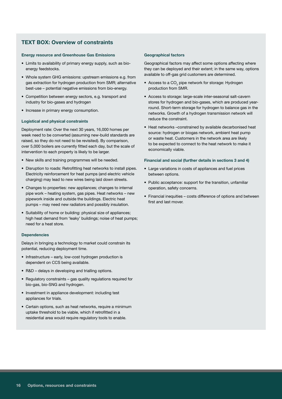# TEXT BOX: Overview of constraints

#### Energy resource and Greenhouse Gas Emissions

- Limits to availability of primary energy supply, such as bioenergy feedstocks.
- Whole system GHG emissions: upstream emissions e.g. from gas extraction for hydrogen production from SMR; alternative best-use – potential negative emissions from bio-energy.
- Competition between energy sectors, e.g. transport and industry for bio-gases and hydrogen
- Increase in primary energy consumption.

#### Logistical and physical constraints

Deployment rate: Over the next 30 years, 16,000 homes per week need to be converted (assuming new-build standards are raised, so they do not need to be revisited). By comparison, over 5,000 boilers are currently fitted each day, but the scale of intervention to each property is likely to be larger.

- New skills and training programmes will be needed.
- Disruption to roads: Retrofitting heat networks to install pipes. Electricity reinforcement for heat pumps (and electric vehicle charging) may lead to new wires being laid down streets.
- Changes to properties: new appliances; changes to internal pipe work – heating system, gas pipes. Heat networks – new pipework inside and outside the buildings. Electric heat pumps – may need new radiators and possibly insulation.
- Suitability of home or building: physical size of appliances; high heat demand from 'leaky' buildings; noise of heat pumps; need for a heat store.

#### **Dependencies**

Delays in bringing a technology to market could constrain its potential, reducing deployment time.

- Infrastructure early, low-cost hydrogen production is dependent on CCS being available.
- R&D delays in developing and trialling options.
- Regulatory constraints gas quality regulations required for bio-gas, bio-SNG and hydrogen.
- Investment in appliance development: including test appliances for trials.
- Certain options, such as heat networks, require a minimum uptake threshold to be viable, which if retrofitted in a residential area would require regulatory tools to enable.

#### Geographical factors

Geographical factors may affect some options affecting where they can be deployed and their extent; in the same way, options available to off-gas grid customers are determined.

- Access to a CO<sub>2</sub> pipe network for storage: Hydrogen production from SMR.
- Access to storage: large-scale inter-seasonal salt-cavern stores for hydrogen and bio-gases, which are produced yearround. Short-term storage for hydrogen to balance gas in the networks. Growth of a hydrogen transmission network will reduce the constraint.
- Heat networks –constrained by available decarbonised heat source: hydrogen or biogas network, ambient heat pump or waste heat. Customers in the network area are likely to be expected to connect to the heat network to make it economically viable.

#### Financial and social (further details in sections 3 and 4)

- Large variations in costs of appliances and fuel prices between options.
- Public acceptance: support for the transition, unfamiliar operation, safety concerns.
- Financial inequities costs difference of options and between first and last mover.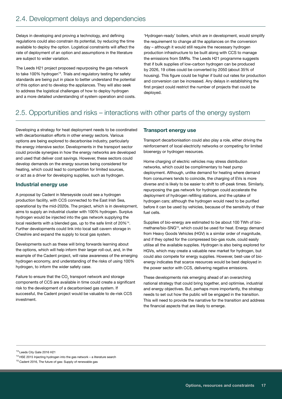Delays in developing and proving a technology, and defining regulations could also constrain its potential, by reducing the time available to deploy the option. Logistical constraints will affect the rate of deployment of an option and assumptions in the literature are subject to wider variation.

The Leeds H21 project proposed repurposing the gas network to take 100% hydrogen<sup>13</sup>. Trials and regulatory testing for safety standards are being put in place to better understand the potential of this option and to develop the appliances. They will also seek to address the logistical challenges of how to deploy hydrogen and a more detailed understanding of system operation and costs. 'Hydrogen-ready' boilers, which are in development, would simplify the requirement to change all the appliances on the conversion day – although it would still require the necessary hydrogen production infrastructure to be built along with CCS to manage the emissions from SMRs. The Leeds H21 programme suggests that if bulk supplies of low-carbon hydrogen can be produced by 2026, 19 cities could be converted by 2050 (about 35% of housing). This figure could be higher if build out rates for production and conversion can be increased. Any delays in establishing the first project could restrict the number of projects that could be deployed.

# 2.5. Opportunities and risks – interactions with other parts of the energy system

Developing a strategy for heat deployment needs to be coordinated with decarbonisation efforts in other energy sectors. Various options are being explored to decarbonise industry, particularly the energy intensive sector. Developments in the transport sector could provide synergies in how the energy networks are developed and used that deliver cost savings. However, these sectors could develop demands on the energy sources being considered for heating, which could lead to competition for limited sources, or act as a driver for developing supplies, such as hydrogen.

## Industrial energy use

A proposal by Cadent in Merseyside could see a hydrogen production facility, with CCS connected to the East Irish Sea, operational by the mid-2020s. The project, which is in development, aims to supply an industrial cluster with 100% hydrogen. Surplus hydrogen would be injected into the gas network supplying the local residents with a blended gas, up to the safe limit of 20%14. Further developments could link into local salt cavern storage in Cheshire and expand the supply to local gas system.

Developments such as these will bring forwards learning about the options, which will help inform their larger roll-out, and, in the example of the Cadent project, will raise awareness of the emerging hydrogen economy, and understanding of the risks of using 100% hydrogen, to inform the wider safety case.

Failure to ensure that the CO<sub>2</sub> transport network and storage components of CCS are available in time could create a significant risk to the development of a decarbonised gas system. If successful, the Cadent project would be valuable to de-risk CCS investment.

## Transport energy use

Transport decarbonisation could also play a role, either driving the reinforcement of local electricity networks or competing for limited bioenergy or hydrogen resources.

Home charging of electric vehicles may stress distribution networks, which could be complimentary to heat pump deployment. Although, unlike demand for heating where demand from consumers tends to coincide, the charging of EVs is more diverse and is likely to be easier to shift to off-peak times. Similarly, repurposing the gas network for hydrogen could accelerate the deployment of hydrogen refilling stations, and the uptake of hydrogen cars; although the hydrogen would need to be purified before it can be used by vehicles, because of the sensitivity of their fuel cells.

Supplies of bio-energy are estimated to be about 100 TWh of biomethane/bio-SNG15, which could be used for heat. Energy demand from Heavy Goods Vehicles (HGV) is a similar order of magnitude, and if they opted for the compressed bio-gas route, could easily utilise all the available supplies. Hydrogen is also being explored for HGVs, which may create a valuable new market for hydrogen, but could also compete for energy supplies. However, best-use of bioenergy indicates that scarce resources would be best deployed in the power sector with CCS, delivering negative emissions.

These developments risk emerging ahead of an overarching national strategy that could bring together, and optimise, industrial and energy objectives. But, perhaps more importantly, the strategy needs to set out how the public will be engaged in the transition. This will need to provide the narrative for the transition and address the financial aspects that are likely to emerge.

13 Leeds City Gate 2016 H21

<sup>14</sup> HSE 2015 Injecting hydrogen into the gas network – a literature search

<sup>&</sup>lt;sup>15</sup> Cadent 2016, The future of gas: Supply of renewable gas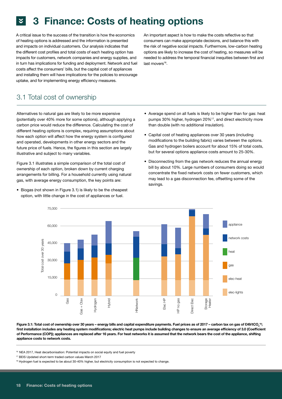# **2 3 Finance: Costs of heating options**

A critical issue to the success of the transition is how the economics of heating options is addressed and the information is presented and impacts on individual customers. Our analysis indicates that the different cost profiles and total costs of each heating option has impacts for customers, network companies and energy supplies, and in turn has implications for funding and deployment. Network and fuel costs affect the consumers' bills, but the capital cost of appliances and installing them will have implications for the policies to encourage uptake, and for implementing energy efficiency measures.

3.1 Total cost of ownership

Alternatives to natural gas are likely to be more expensive (potentially over 40% more for some options), although applying a carbon price would reduce the difference. Calculating the cost of different heating options is complex, requiring assumptions about how each option will affect how the energy system is configured and operated, developments in other energy sectors and the future price of fuels. Hence, the figures in this section are largely illustrative and subject to many variables.

Figure 3.1 illustrates a simple comparison of the total cost of ownership of each option, broken down by current charging arrangements for billing. For a household currently using natural gas, with average energy consumption, the key points are:

• Biogas (not shown in Figure 3.1) is likely to be the cheapest option, with little change in the cost of appliances or fuel.

An important aspect is how to make the costs reflective so that consumers can make appropriate decisions, and balance this with the risk of negative social impacts. Furthermore, low-carbon heating options are likely to increase the cost of heating, so measures will be needed to address the temporal financial inequities between first and last movers<sup>16</sup>.

- Average spend on all fuels is likely to be higher than for gas: heat pumps 30% higher, hydrogen 20%17, and direct electricity more than double (with no additional insulation).
- Capital cost of heating appliances over 30 years (including modifications to the building fabric) varies between the options. Gas and hydrogen boilers account for about 15% of total costs, but for several options appliance costs amount to 25-30%.
- Disconnecting from the gas network reduces the annual energy bill by about 10%. Large numbers of consumers doing so would concentrate the fixed network costs on fewer customers, which may lead to a gas disconnection fee, offsetting some of the savings.



Figure 3.1: Total cost of ownership over 30 years – energy bills and capital expenditure payments. Fuel prices as of 2017 – carbon tax on gas of £49/tCO<sub>2</sub> 18; first installation includes any heating system modifications; electric heat pumps include building changes to ensure an average efficiency of 3.0 (Coefficient of Performance (COP)); appliances are replaced after 16 years. For heat networks it is assumed that the network bears the cost of the appliance, shifting appliance costs to network costs.

16 NEA 2017, Heat decarbonisation: Potential impacts on social equity and fuel poverty

<sup>17</sup> BEIS Updated short-term traded carbon values March 2017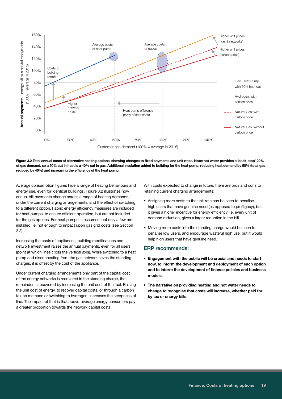

Figure 3.2 Total annual costs of alternative heating options, showing changes to fixed payments and unit rates. Note: hot water provides a 'back-stop' 20% of gas demand, so a 50% cut in heat is a 40% cut in gas. Additional insulation added to building for the heat pump, reducing heat demand by 50% (total gas

Average consumption figures hide a range of heating behaviours and energy use, even for identical buildings. Figure 3.2 illustrates how annual bill payments change across a range of heating demands, under the current charging arrangements, and the effect of switching to a different option. Fabric energy efficiency measures are included for heat pumps, to ensure efficient operation, but are not included for the gas options. For heat pumps, it assumes that only a few are installed i.e. not enough to impact upon gas grid costs (see Section 3.3).

Increasing the costs of appliances, building modifications and network investment raises the annual payments, even for all users (point at which lines cross the vertical axis). While switching to a heat pump and disconnecting from the gas network saves the standing charges, it is offset by the cost of the appliance.

Under current charging arrangements only part of the capital cost of the energy networks is recovered in the standing charge, the remainder is recovered by increasing the unit cost of the fuel. Raising the unit cost of energy, to recover capital costs, or through a carbon tax on methane or switching to hydrogen, increases the steepness of line. The impact of that is that above-average energy consumers pay a greater proportion towards the network capital costs.

With costs expected to change in future, there are pros and cons to retaining current charging arrangements:

- Assigning more costs to the unit rate can be seen to penalise high users that have genuine need (as opposed to profligacy), but it gives a higher incentive for energy efficiency i.e. every unit of demand reduction, gives a larger reduction in the bill.
- Moving more costs into the standing charge would be seen to penalise low users, and encourage wasteful high use, but it would help high users that have genuine need.

### ERP recommends:

- Engagement with the public will be crucial and needs to start now, to inform the development and deployment of each option and to inform the development of finance policies and business models.
- The narrative on providing heating and hot water needs to change to recognise that costs will increase, whether paid for by tax or energy bills.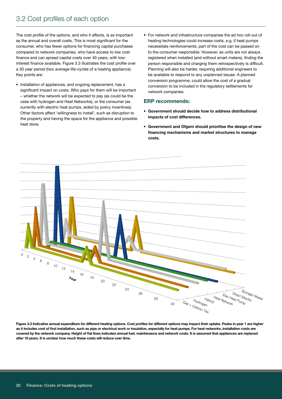The cost profile of the options, and who it affects, is as important as the annual and overall costs. This is most significant for the consumer, who has fewer options for financing capital purchases compared to network companies, who have access to low cost finance and can spread capital costs over 40 years, with lowinterest finance available. Figure 3.3 illustrates the cost profile over a 30 year period (two average life-cycles of a heating appliance). Key points are:

- Installation of appliances, and ongoing replacement, has a significant impact on costs. Who pays for them will be important – whether the network will be expected to pay (as could be the case with hydrogen and Heat Networks), or the consumer (as currently with electric heat pumps, aided by policy incentives). Other factors affect 'willingness to install', such as disruption to the property and having the space for the appliance and possible heat store.
- For network and infrastructure companies the ad hoc roll-out of heating technologies could increase costs, e.g. if heat pumps necessitate reinforcements, part of the cost can be passed on to the consumer responsible. However, as units are not always registered when installed (and without smart meters), finding the person responsible and charging them retrospectively is difficult. Planning will also be harder, requiring additional engineers to be available to respond to any unplanned issues. A planned conversion programme, could allow the cost of a gradual conversion to be included in the regulatory settlements for network companies.

## ERP recommends:

- Government should decide how to address distributional impacts of cost differences.
- Government and Ofgem should prioritise the design of new financing mechanisms and market structures to manage costs.



Figure 3.3 Indicative annual expenditure for different heating options. Cost profiles for different options may impact their uptake. Peaks in year 1 are higher as it includes cost of first installation, such as pipe or electrical work or insulation, especially for heat pumps. For heat networks, installation costs are covered by the network company. Height of flat lines indicates annual fuel, maintenance and network costs. It is assumed that appliances are replaced after 16 years. It is unclear how much these costs will reduce over time.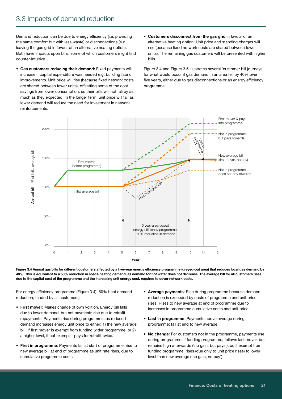Demand reduction can be due to energy efficiency (i.e. providing the same comfort but with less waste) or disconnections (e.g. leaving the gas grid in favour of an alternative heating option). Both have impacts upon bills, some of which customers might find counter-intuitive.

- Gas customers reducing their demand: Fixed payments will increase if capital expenditure was needed e.g. building fabric improvements. Unit price will rise (because fixed network costs are shared between fewer units), offsetting some of the cost savings from lower consumption, so their bills will not fall by as much as they expected. In the longer term, unit price will fall as lower demand will reduce the need for investment in network reinforcements.
- Customers disconnect from the gas grid in favour of an alternative heating option: Unit price and standing charges will rise (because fixed network costs are shared between fewer units). The remaining gas customers will be presented with higher bills.

Figure 3.4 and Figure 3.5 illustrates several 'customer bill journeys' for what would occur if gas demand in an area fell by 40% over five years, either due to gas disconnections or an energy efficiency programme.



Figure 3.4 Annual gas bills for different customers affected by a five-year energy efficiency programme (greyed-out area) that reduces local gas demand by 40%. This is equivalent to a 50% reduction in space heating demand, as demand for hot water does not decrease. The average bill for all customers rises due to the capital cost of the programme and the increasing unit energy cost, required to cover network costs.

For energy efficiency programme (Figure 3.4), 50% heat demand reduction, funded by all customers):

- First mover: Makes change of own volition. Energy bill falls due to lower demand, but net payments rise due to retrofit repayments. Payments rise during programme, as reduced demand increases energy unit price to either: 1) the new average bill, if first mover is exempt from funding wider programme, or 2) a higher level, if not exempt – pays for retrofit twice.
- First in programme: Payments fall at start of programme, rise to new average bill at end of programme as unit rate rises, due to cumulative programme costs.
- Average payments: Rise during programme because demand reduction is exceeded by costs of programme and unit price rises. Rises to new average at end of programme due to increases in programme cumulative costs and unit price.
- Last in programme: Payments above average during programme; fall at end to new average.
- No change: For customers not in the programme, payments rise during programme: if funding programme, follows last mover, but remains high afterwards ('no gain, but pays'); or, if exempt from funding programme, rises (due only to unit price rises) to lower level than new average ('no gain, no pay').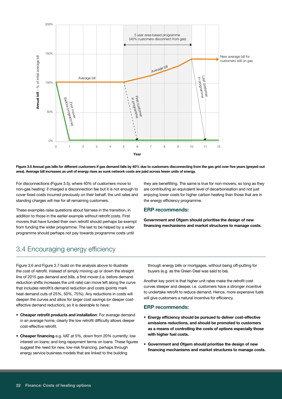

Figure 3.5 Annual gas bills for different customers if gas demand falls by 40% due to customers disconnecting from the gas grid over five years (greyed-out area). Average bill increases as unit of energy rises as sunk network costs are paid across fewer units of energy.

For disconnections (Figure 3.5), where 40% of customers move to non-gas heating: if charged a disconnection fee but it is not enough to cover fixed costs incurred previously on their behalf, the unit rates and standing charges will rise for all remaining customers.

These examples raise questions about fairness in the transition, in addition to those in the earlier example without retrofit costs. First movers that have funded their own retrofit should perhaps be exempt from funding the wider programme. The last to be helped by a wider programme should perhaps not pay towards programme costs until

they are benefitting. The same is true for non-movers, so long as they are contributing an equivalent level of decarbonisation and not just enjoying lower costs for higher carbon heating than those that are in the energy efficiency programme.

#### ERP recommends:

Government and Ofgem should prioritise the design of new financing mechanisms and market structures to manage costs.

# 3.4 Encouraging energy efficiency

Figure 3.6 and Figure 3.7 build on the analysis above to illustrate the cost of retrofit. Instead of simply moving up or down the straight line of 2015 gas demand and bills, a first mover (i.e. before demand reduction shifts increases the unit rate) can move left along the curve that includes retrofit's demand reduction and costs (points mark heat demand cuts of 25%, 50%, 75%). Any reductions in costs will deepen the curves and allow for larger cost savings (or deeper costeffective demand reduction), so it is desirable to have:

- Cheaper retrofit products and installation: For average demand in an average home, clearly the low retrofit difficulty allows deeper cost-effective retrofit.
- Cheaper financing e.g. VAT at 5%, down from 20% currently; low interest on loans; and long repayment terms on loans. These figures suggest the need for new, low-risk financing, perhaps through energy service business models that are linked to the building

through energy bills or mortgages, without being off-putting for buyers (e.g. as the Green Deal was said to be).

Another key point is that higher unit rates make the retrofit cost curves steeper and deeper, i.e. customers have a stronger incentive to undertake retrofit to reduce demand. Hence, more expensive fuels will give customers a natural incentive for efficiency.

#### ERP recommends:

- Energy efficiency should be pursued to deliver cost-effective emissions reductions, and should be promoted to customers as a means of controlling the costs of options especially those with higher fuel costs.
- Government and Ofgem should prioritise the design of new financing mechanisms and market structures to manage costs.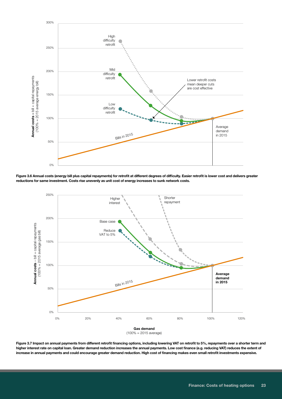

Figure 3.6 Annual costs (energy bill plus capital repayments) for retrofit at different degrees of difficulty. Easier retrofit is lower cost and delivers greater reductions for same investment. Costs rise unevenly as unit cost of energy increases to sunk network costs.



Figure 3.7 Impact on annual payments from different retrofit financing options, including lowering VAT on retrofit to 5%, repayments over a shorter term and higher interest rate on capital loan. Greater demand reduction increases the annual payments. Low cost finance (e.g. reducing VAT) reduces the extent of increase in annual payments and could encourage greater demand reduction. High cost of financing makes even small retrofit investments expensive.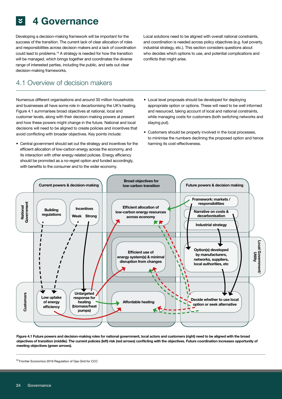# 4 Governance

Developing a decision-making framework will be important for the success of the transition. The current lack of clear allocation of roles and responsibilities across decision makers and a lack of coordination could lead to problems.19 A strategy is needed for how the transition will be managed, which brings together and coordinates the diverse range of interested parties, including the public, and sets out clear decision-making frameworks.

# 4.1 Overview of decision makers

Numerous different organisations and around 30 million households and businesses all have some role in decarbonising the UK's heating. Figure 4.1 summarises broad objectives at national, local and customer levels, along with their decision-making powers at present and how these powers might change in the future. National and local decisions will need to be aligned to create policies and incentives that avoid conflicting with broader objectives. Key points include:

• Central government should set out the strategy and incentives for the efficient allocation of low-carbon energy across the economy, and its interaction with other energy-related policies. Energy efficiency should be promoted as a no-regret option and funded accordingly, with benefits to the consumer and to the wider economy.

Local solutions need to be aligned with overall national constraints, and coordination is needed across policy objectives (e.g. fuel poverty, industrial strategy, etc.). This section considers questions about who decides which options to use, and potential complications and conflicts that might arise.

- Local level proposals should be developed for deploying appropriate option or options. These will need to be well informed and resourced, taking account of local and national constraints, while managing costs for customers (both switching networks and staying put).
- Customers should be properly involved in the local processes, to minimise the numbers declining the proposed option and hence harming its cost-effectiveness.



Figure 4.1 Future powers and decision-making roles for national government, local actors and customers (right) need to be aligned with the broad objectives of transition (middle). The current policies (left) risk (red arrows) conflicting with the objectives. Future coordination increases opportunity of meeting objectives (green arrows).

<sup>&</sup>lt;sup>19</sup> Frontier Economics 2016 Regulation of Gas Grid for CCC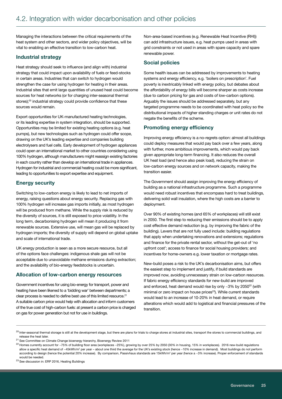Managing the interactions between the critical requirements of the heat system and other sectors, and wider policy objectives, will be vital to enabling an effective transition to low-carbon heat.

### Industrial strategy

Heat strategy should seek to influence (and align with) industrial strategy that could impact upon availability of fuels or feed-stocks in certain areas. Industries that can switch to hydrogen would strengthen the case for using hydrogen for heating in their areas. Industrial sites that emit large quantities of unused heat could become sources for heat networks (or for charging inter-seasonal thermal stores);<sup>20</sup> industrial strategy could provide confidence that these sources would remain.

Export opportunities for UK-manufactured heating technologies, or its leading expertise in system integration, should be supported. Opportunities may be limited for existing heating options (e.g. heat pumps), but new technologies such as hydrogen could offer scope, drawing on the UK's leading expertise and companies building electrolysers and fuel cells. Early development of hydrogen appliances could open an international market to other countries considering using 100% hydrogen, although manufacturers might reassign existing factories in each country rather than develop an international trade in appliances. Hydrogen for industrial and commercial heating could be more significant, leading to opportunities to export expertise and equipment.

## Energy security

Switching to low-carbon energy is likely to lead to net imports of energy, raising questions about energy security. Replacing gas with 100% hydrogen will increase gas imports initially, as most hydrogen will be produced from methane. While the supply risk is reduced by the diversity of sources, it is still exposed to price volatility. In the long term, decarbonising hydrogen will mean it producing it from renewable sources. Extensive use, will mean gas will be replaced by hydrogen imports; the diversity of supply will depend on global uptake and scale of international trade.

UK energy production is seen as a more secure resource, but all of the options face challenges: indigenous shale gas will not be acceptable due to unavoidable methane emissions during extraction; and the availability of bio-energy feedstocks is uncertain.

## Allocation of low-carbon energy resources

Government incentives for using bio-energy for transport, power and heating have been likened to a 'bidding war' between departments; a clear process is needed to define best use of this limited resource.<sup>21</sup> A suitable carbon price would help with allocation and inform customers of the true cost of high-carbon fuels: at present a carbon price is charged on gas for power generation but not for use in buildings.

Non-area-based incentives (e.g. Renewable Heat Incentive (RHI)) can add infrastructure issues, e.g. heat pumps used in areas with grid constraints or not used in areas with spare capacity and spare renewable power.

## Social policies

Some health issues can be addressed by improvements to heating systems and energy efficiency, e.g. 'boilers on prescription'. Fuel poverty is inextricably linked with energy policy, but debates about the affordability of energy bills will become sharper as costs increase (due to carbon pricing for gas and costs of low-carbon options). Arguably the issues should be addressed separately, but any targeted programme needs to be coordinated with heat policy so the distributional impacts of higher standing charges or unit rates do not negate the benefits of the scheme.

## Promoting energy efficiency

Improving energy efficiency is a no-regrets option: almost all buildings could deploy measures that would pay back over a few years, along with further, more ambitious improvements, which would pay back given appropriate long-term financing. It also reduces the overall UK heat load (and hence also peak load), reducing the strain on low-carbon energy sources and on network capacity, making the transition easier.

The Government should assign improving the energy efficiency of building as a national infrastructure programme. Such a programme would need robust incentives that encompass hard to treat buildings, delivering solid wall insulation, where the high costs are a barrier to deployment.

Over 90% of existing homes (and 65% of workplaces) will still exist in 2050. The first step to reducing their emissions should be to apply cost effective demand reduction (e.g. by improving the fabric of the building). Levers that are not fully used include: building regulations that apply when undertaking renovations and extensions; regulations and finance for the private rental sector, without the get-out of 'no upfront cost'; access to finance for social housing providers; and incentives for home-owners e.g. lower taxation or mortgage rates.

New-build poses a risk to the UK's decarbonisation aims, but offers the easiest step to implement and justify, if build standards are improved now, avoiding unnecessary strain on low-carbon resources. If fabric energy efficiency standards for new-build are improved and enforced, heat demand would rise by only  $~3\%$  by 2050<sup>22</sup> (with minimal or zero impact on house prices<sup>23</sup>). While current standards would lead to an increase of 10-20% in heat demand, or require alterations which would add to logistical and financial pressures of the transition.

23 See discussion in: ERP 2016, Heating Buildings

<sup>&</sup>lt;sup>20</sup> Inter-seasonal thermal storage is still at the development stage, but there are plans for trials to charge stores at industrial sites, transport the stores to commercial buildings, and release the heat later.

 $^{21}$  See Committee on Climate Change bioenergy hierarchy, Bioenergy Review 2011

<sup>&</sup>lt;sup>22</sup> Homes currently account for ~75% of building floor area (workplaces ~25%), growing by over 25% by 2050 (30% in housing, 15% in workplaces). 2016 new-build regulations allow a specific heat demand of ~45kWh/m<sup>2</sup> per year – about one third the average for the UK's existing stock (hence ~10% increase in demand). Most buildings do not perform according to design (hence the potential 20% increase). By comparison, Passivhaus standards are 15kWh/m<sup>2</sup> per year (hence a ~3% increase). Proper enforcement of standards would be needed.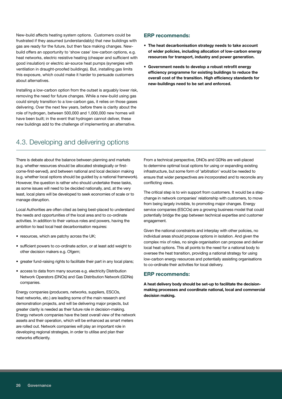New-build affects heating system options. Customers could be frustrated if they assumed (understandably) that new buildings with gas are ready for the future, but then face making changes. Newbuild offers an opportunity to 'show case' low-carbon options, e.g. heat networks, electric resistive heating (cheaper and sufficient with good insulation) or electric air-source heat pumps (synergies with ventilation in draught-proofed buildings). But, installing gas limits this exposure, which could make it harder to persuade customers about alternatives.

Installing a low-carbon option from the outset is arguably lower risk, removing the need for future changes. While a new-build using gas could simply transition to a low-carbon gas, it relies on those gases delivering. Over the next few years, before there is clarity about the role of hydrogen, between 500,000 and 1,000,000 new homes will have been built; in the event that hydrogen cannot deliver, these new buildings add to the challenge of implementing an alternative.

## ERP recommends:

- The heat decarbonisation strategy needs to take account of wider policies, including allocation of low-carbon energy resources for transport, industry and power generation.
- Government needs to develop a robust retrofit energy efficiency programme for existing buildings to reduce the overall cost of the transition. High efficiency standards for new-buildings need to be set and enforced.

# 4.3. Developing and delivering options

There is debate about the balance between planning and markets (e.g. whether resources should be allocated strategically or firstcome-first-served), and between national and local decision making (e.g. whether local options should be guided by a national framework). However, the question is rather who should undertake these tasks, as some issues will need to be decided nationally, and, at the very least, local plans will be developed to seek economies of scale or to manage disruption.

Local Authorities are often cited as being best-placed to understand the needs and opportunities of the local area and to co-ordinate activities. In addition to their various roles and powers, having the ambition to lead local heat decarbonisation requires:

- resources, which are patchy across the UK;
- sufficient powers to co-ordinate action, or at least add weight to other decision makers e.g. Ofgem;
- greater fund-raising rights to facilitate their part in any local plans;
- access to data from many sources e.g. electricity Distribution Network Operators (DNOs) and Gas Distribution Network (GDNs) companies.

Energy companies (producers, networks, suppliers, ESCOs, heat networks, etc.) are leading some of the main research and demonstration projects, and will be delivering major projects, but greater clarity is needed as their future role in decision-making. Energy network companies have the best overall view of the network assets and their operation, which will be enhanced as smart meters are rolled out. Network companies will play an important role in developing regional strategies, in order to utilise and plan their networks efficiently.

From a technical perspective, DNOs and GDNs are well-placed to determine optimal local options for using or expanding existing infrastructure, but some form of 'arbitration' would be needed to ensure that wider perspectives are incorporated and to reconcile any conflicting views.

The critical step is to win support from customers. It would be a stepchange in network companies' relationship with customers, to move from being largely invisible, to promoting major changes. Energy service companies (ESCOs) are a growing business model that could potentially bridge the gap between technical expertise and customer engagement.

Given the national constraints and interplay with other policies, no individual areas should propose options in isolation. And given the complex mix of roles, no single organisation can propose and deliver local heat options. This all points to the need for a national body to oversee the heat transition, providing a national strategy for using low-carbon energy resources and potentially assisting organisations to co-ordinate their activities for local delivery.

### ERP recommends:

A heat delivery body should be set-up to facilitate the decisionmaking processes and coordinate national, local and commercial decision making.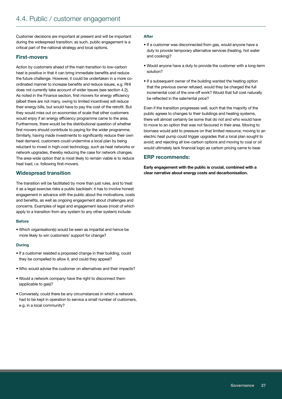Customer decisions are important at present and will be important during the widespread transition; as such, public engagement is a critical part of the national strategy and local options.

## First-movers

Action by customers ahead of the main transition to low-carbon heat is positive in that it can bring immediate benefits and reduce the future challenge. However, it could be undertaken in a more coordinated manner to increase benefits and reduce issues, e.g. RHI does not currently take account of wider issues (see section 4.2). As noted in the Finance section, first movers for energy efficiency (albeit there are not many, owing to limited incentives) will reduce their energy bills, but would have to pay the cost of the retrofit. But they would miss out on economies of scale that other customers would enjoy if an energy efficiency programme came to the area. Furthermore, there would be the distributional question of whether first movers should contribute to paying for the wider programme. Similarly, having made investments to significantly reduce their own heat demand, customers could undermine a local plan by being reluctant to invest in high-cost technology, such as heat networks or network upgrades, thereby reducing the case for network changes. The area-wide option that is most likely to remain viable is to reduce heat load, i.e. following first-movers.

## Widespread transition

The transition will be facilitated by more than just rules, and to treat it as a legal exercise risks a public backlash: it has to involve honest engagement in advance with the public about the motivations, costs and benefits, as well as ongoing engagement about challenges and concerns. Examples of legal and engagement issues (most of which apply to a transition from any system to any other system) include:

#### Before

• Which organisation(s) would be seen as impartial and hence be more likely to win customers' support for change?

#### During

- If a customer resisted a proposed change in their building, could they be compelled to allow it, and could they appeal?
- Who would advise the customer on alternatives and their impacts?
- Would a network company have the right to disconnect them (applicable to gas)?
- Conversely, could there be any circumstances in which a network had to be kept in operation to service a small number of customers, e.g. in a local community?

#### **After**

- If a customer was disconnected from gas, would anyone have a duty to provide temporary alternative services (heating, hot water and cooking)?
- Would anyone have a duty to provide the customer with a long-term solution?
- If a subsequent owner of the building wanted the heating option that the previous owner refused, would they be charged the full incremental cost of the one-off work? Would that full cost naturally be reflected in the sale/rental price?

Even if the transition progresses well, such that the majority of the public agrees to changes to their buildings and heating systems, there will almost certainly be some that do not and who would have to move to an option that was not favoured in their area. Moving to biomass would add to pressure on that limited resource; moving to an electric heat pump could trigger upgrades that a local plan sought to avoid; and rejecting all low-carbon options and moving to coal or oil would ultimately lack financial logic as carbon pricing came to bear.

## ERP recommends:

Early engagement with the public is crucial, combined with a clear narrative about energy costs and decarbonisation.